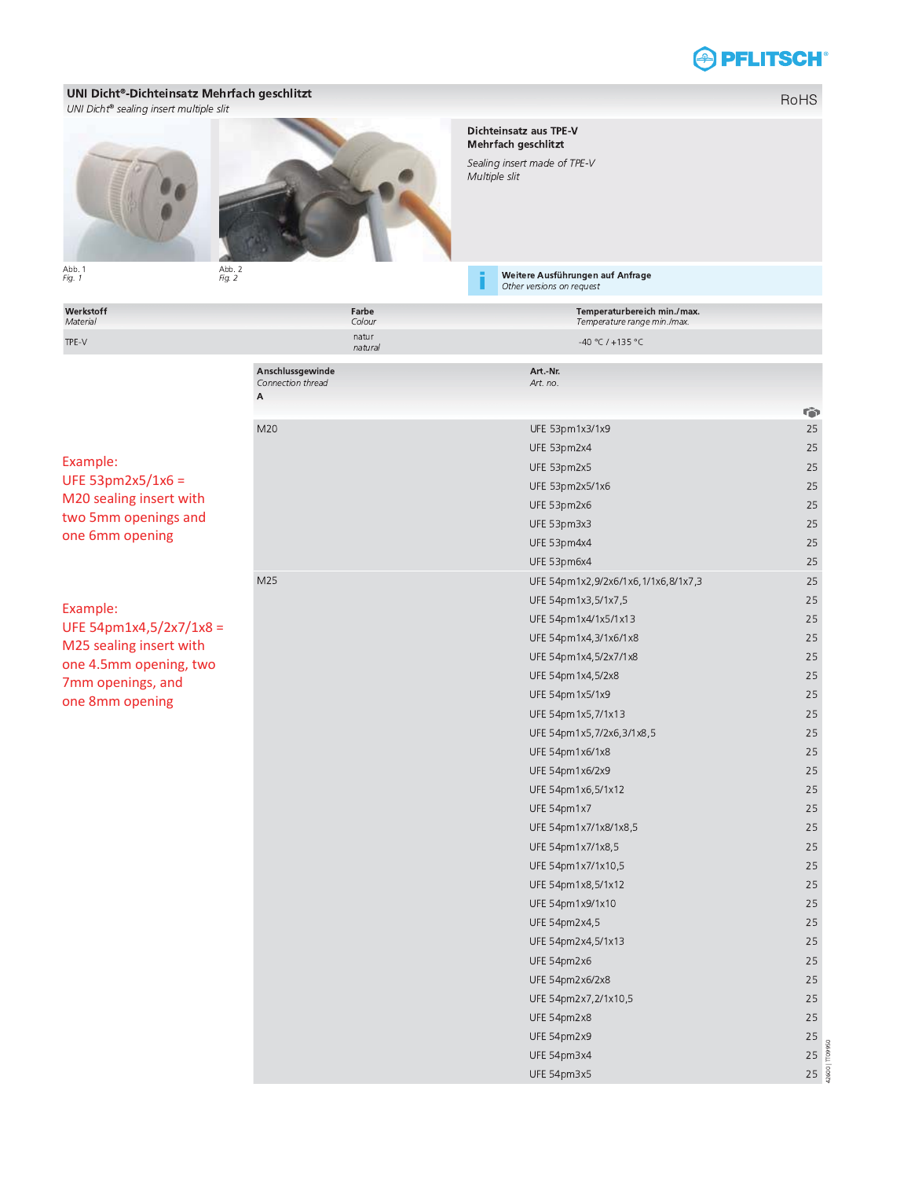## **APFLITSCH®**

## UNI Dicht®-Dichteinsatz Mehrfach geschlitzt

UNI Dicht® sealing insert multiple slit



Abb. 1<br> $Fig. 1$ 

Abb. 2<br>Fig. 2

Dichteinsatz aus TPE-V<br>Mehrfach geschlitzt

Sealing insert made of TPE-V Multiple slit

Weitere Ausführungen auf Anfrage<br>Other versions on request

| Werkstoff<br>Material                                                                                                          | Farbe<br>Colour                            | Temperaturbereich min./max.<br>Temperature range min./max. |                 |
|--------------------------------------------------------------------------------------------------------------------------------|--------------------------------------------|------------------------------------------------------------|-----------------|
| TPE-V                                                                                                                          | natur<br>natural                           | -40 °C / +135 °C                                           |                 |
|                                                                                                                                | Anschlussgewinde<br>Connection thread<br>A | Art.-Nr.<br>Art. no.                                       |                 |
|                                                                                                                                |                                            |                                                            | G               |
|                                                                                                                                | M20                                        | UFE 53pm1x3/1x9                                            | 25              |
|                                                                                                                                |                                            | UFE 53pm2x4                                                | 25              |
| Example:                                                                                                                       |                                            | UFE 53pm2x5                                                | 25              |
| UFE 53pm2x5/1x6 =<br>M20 sealing insert with<br>two 5mm openings and<br>one 6mm opening<br>Example:<br>UFE 54pm1x4,5/2x7/1x8 = |                                            | UFE 53pm2x5/1x6                                            | 25              |
|                                                                                                                                |                                            | UFE 53pm2x6                                                | 25              |
|                                                                                                                                |                                            | UFE 53pm3x3                                                | 25              |
|                                                                                                                                |                                            | UFE 53pm4x4                                                | 25              |
|                                                                                                                                |                                            | UFE 53pm6x4                                                | 25              |
|                                                                                                                                | M25                                        | UFE 54pm1x2,9/2x6/1x6,1/1x6,8/1x7,3                        | 25              |
|                                                                                                                                |                                            | UFE 54pm1x3,5/1x7,5                                        | 25              |
|                                                                                                                                |                                            | UFE 54pm1x4/1x5/1x13                                       | 25              |
| M25 sealing insert with                                                                                                        |                                            | UFE 54pm1x4,3/1x6/1x8                                      | 25              |
| one 4.5mm opening, two<br>7mm openings, and<br>one 8mm opening                                                                 |                                            | UFE 54pm1x4,5/2x7/1x8                                      | 25              |
|                                                                                                                                |                                            | UFE 54pm1x4,5/2x8                                          | 25              |
|                                                                                                                                |                                            | UFE 54pm1x5/1x9                                            | 25              |
|                                                                                                                                |                                            | UFE 54pm1x5,7/1x13                                         | 25              |
|                                                                                                                                |                                            | UFE 54pm1x5,7/2x6,3/1x8,5                                  | 25              |
|                                                                                                                                |                                            | UFE 54pm1x6/1x8                                            | 25              |
|                                                                                                                                |                                            | UFE 54pm1x6/2x9                                            | 25              |
|                                                                                                                                |                                            | UFE 54pm1x6,5/1x12                                         | 25              |
|                                                                                                                                |                                            | UFE 54pm1x7                                                | 25              |
|                                                                                                                                |                                            | UFE 54pm1x7/1x8/1x8,5                                      | 25              |
|                                                                                                                                |                                            | UFE 54pm1x7/1x8,5                                          | 25              |
|                                                                                                                                |                                            | UFE 54pm1x7/1x10,5                                         | 25              |
|                                                                                                                                |                                            | UFE 54pm1x8,5/1x12                                         | 25              |
|                                                                                                                                |                                            | UFE 54pm1x9/1x10                                           | 25              |
|                                                                                                                                |                                            | UFE 54pm2x4,5                                              | 25              |
|                                                                                                                                |                                            | UFE 54pm2x4,5/1x13                                         | 25              |
|                                                                                                                                |                                            | UFE 54pm2x6                                                | 25              |
|                                                                                                                                |                                            | UFE 54pm2x6/2x8                                            | 25              |
|                                                                                                                                |                                            | UFE 54pm2x7,2/1x10,5                                       | 25              |
|                                                                                                                                |                                            | UFE 54pm2x8                                                | 25              |
|                                                                                                                                |                                            | UFE 54pm2x9                                                | 25              |
|                                                                                                                                |                                            | UFE 54pm3x4                                                | 25              |
|                                                                                                                                |                                            | UFE 54pm3x5                                                | $25\frac{8}{8}$ |

RoHS